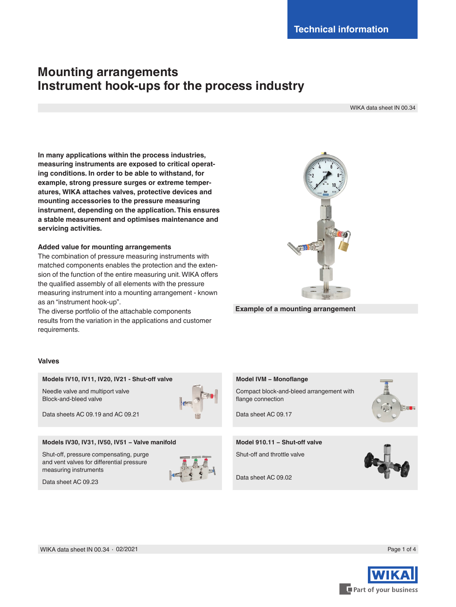# **Mounting arrangements Instrument hook-ups for the process industry**

WIKA data sheet IN 00.34

**In many applications within the process industries, measuring instruments are exposed to critical operating conditions. In order to be able to withstand, for example, strong pressure surges or extreme temperatures, WIKA attaches valves, protective devices and mounting accessories to the pressure measuring instrument, depending on the application. This ensures a stable measurement and optimises maintenance and servicing activities.**

# **Added value for mounting arrangements**

The combination of pressure measuring instruments with matched components enables the protection and the extension of the function of the entire measuring unit. WIKA offers the qualified assembly of all elements with the pressure measuring instrument into a mounting arrangement - known as an "instrument hook-up".

The diverse portfolio of the attachable components results from the variation in the applications and customer requirements.

# **Valves**

# **Models IV10, IV11, IV20, IV21 - Shut-off valve**

Needle valve and multiport valve Block-and-bleed valve



Data sheets AC 09.19 and AC 09.21

# **Models IV30, IV31, IV50, IV51 − Valve manifold**

Shut-off, pressure compensating, purge and vent valves for differential pressure measuring instruments



Data sheet AC 09.23



**Example of a mounting arrangement**

# **Model IVM − Monoflange**

Compact block-and-bleed arrangement with flange connection



Data sheet AC 09.17

# **Model 910.11 − Shut-off valve**

Shut-off and throttle valve

Data sheet AC 09.02



WIKA data sheet IN 00.34 ∙ 02/2021

Part of your business

Page 1 of 4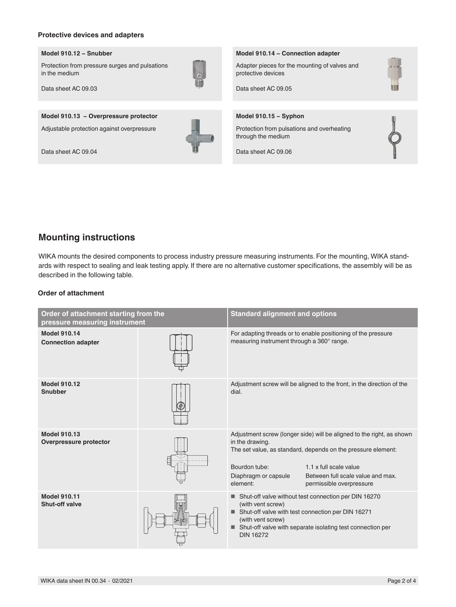## **Protective devices and adapters**

#### **Model 910.12 − Snubber**

Protection from pressure surges and pulsations in the medium



Data sheet AC 09.03

**Model 910.13 − Overpressure protector**

Adjustable protection against overpressure

Data sheet AC 09.04



#### **Model 910.14 − Connection adapter**

Adapter pieces for the mounting of valves and protective devices



Data sheet AC 09.05

**Model 910.15 − Syphon**

Protection from pulsations and overheating through the medium

Data sheet AC 09.06



WIKA mounts the desired components to process industry pressure measuring instruments. For the mounting, WIKA standards with respect to sealing and leak testing apply. If there are no alternative customer specifications, the assembly will be as described in the following table.

## **Order of attachment**

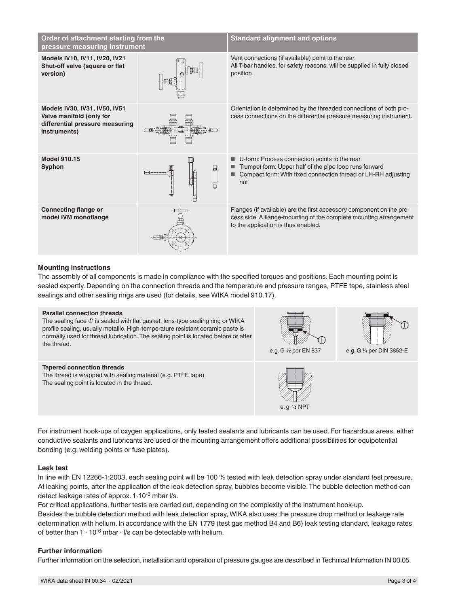| Order of attachment starting from the<br>pressure measuring instrument                                       |   | <b>Standard alignment and options</b>                                                                                                                                            |
|--------------------------------------------------------------------------------------------------------------|---|----------------------------------------------------------------------------------------------------------------------------------------------------------------------------------|
| Models IV10, IV11, IV20, IV21<br>Shut-off valve (square or flat<br>version)                                  |   | Vent connections (if available) point to the rear.<br>All T-bar handles, for safety reasons, will be supplied in fully closed<br>position.                                       |
| Models IV30, IV31, IV50, IV51<br>Valve manifold (only for<br>differential pressure measuring<br>instruments) |   | Orientation is determined by the threaded connections of both pro-<br>cess connections on the differential pressure measuring instrument.                                        |
| <b>Model 910.15</b><br>Syphon                                                                                | ₩ | U-form: Process connection points to the rear<br>Trumpet form: Upper half of the pipe loop runs forward<br>Compact form: With fixed connection thread or LH-RH adjusting<br>nut  |
| <b>Connecting flange or</b><br>model IVM monoflange                                                          |   | Flanges (if available) are the first accessory component on the pro-<br>cess side. A flange-mounting of the complete mounting arrangement<br>to the application is thus enabled. |

# **Mounting instructions**

The assembly of all components is made in compliance with the specified torques and positions. Each mounting point is sealed expertly. Depending on the connection threads and the temperature and pressure ranges, PTFE tape, stainless steel sealings and other sealing rings are used (for details, see WIKA model 910.17).

#### **Parallel connection threads**

The sealing face  $\mathbb O$  is sealed with flat gasket, lens-type sealing ring or WIKA profile sealing, usually metallic. High-temperature resistant ceramic paste is normally used for thread lubrication. The sealing point is located before or after the thread.

#### **Tapered connection threads**

The thread is wrapped with sealing material (e.g. PTFE tape). The sealing point is located in the thread.





e.g. G ¼ per DIN 3852-E



For instrument hook-ups of oxygen applications, only tested sealants and lubricants can be used. For hazardous areas, either conductive sealants and lubricants are used or the mounting arrangement offers additional possibilities for equipotential bonding (e.g. welding points or fuse plates).

# **Leak test**

In line with EN 12266-1:2003, each sealing point will be 100 % tested with leak detection spray under standard test pressure. At leaking points, after the application of the leak detection spray, bubbles become visible. The bubble detection method can detect leakage rates of approx. 1·10-3 mbar l/s.

For critical applications, further tests are carried out, depending on the complexity of the instrument hook-up. Besides the bubble detection method with leak detection spray, WIKA also uses the pressure drop method or leakage rate determination with helium. In accordance with the EN 1779 (test gas method B4 and B6) leak testing standard, leakage rates of better than  $1 \cdot 10^{-6}$  mbar  $\cdot$  I/s can be detectable with helium.

# **Further information**

Further information on the selection, installation and operation of pressure gauges are described in Technical Information IN 00.05.